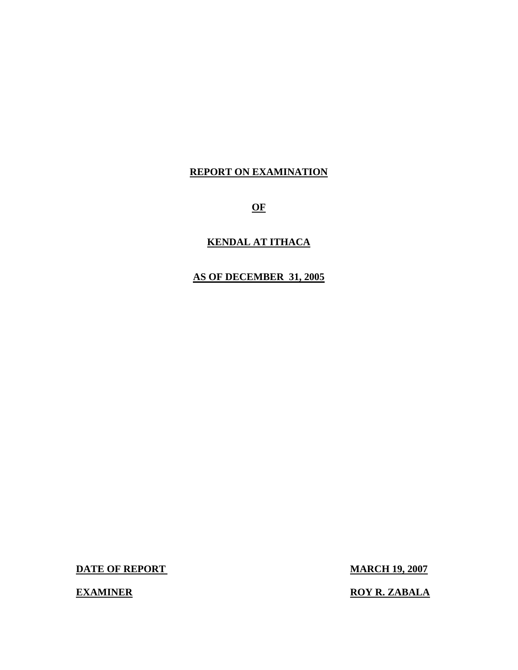## **REPORT ON EXAMINATION**

**OF** 

## **KENDAL AT ITHACA**

## **AS OF DECEMBER 31, 2005**

**DATE OF REPORT MARCH 19, 2007<br>EXAMINER ROY R. ZABALA** 

**MARCH 19, 2007** 

**ROY R. ZABALA**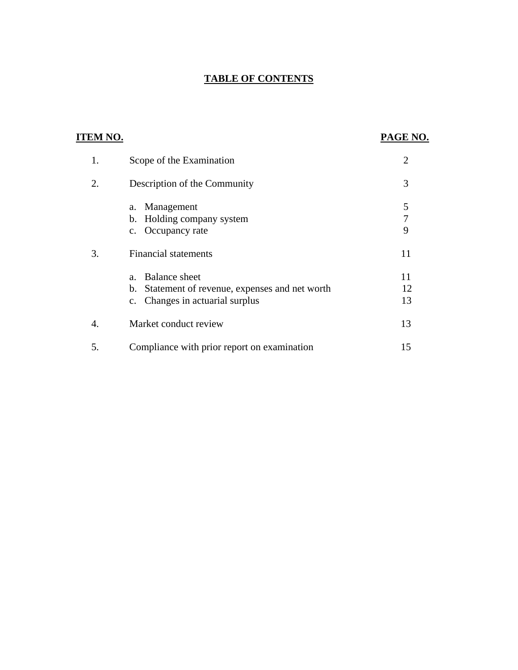# **TABLE OF CONTENTS**

| <b>ITEM NO.</b> |                                                                                                                                                         | PAGE NO.       |
|-----------------|---------------------------------------------------------------------------------------------------------------------------------------------------------|----------------|
| 1.              | Scope of the Examination                                                                                                                                | $\overline{2}$ |
| 2.              | Description of the Community                                                                                                                            | 3              |
|                 | Management<br>a.<br>Holding company system<br>b.<br>c. Occupancy rate                                                                                   | 5<br>7<br>9    |
| 3.              | <b>Financial statements</b>                                                                                                                             | 11             |
|                 | <b>Balance</b> sheet<br>a <sub>z</sub><br>Statement of revenue, expenses and net worth<br>$\mathbf{b}$ .<br>Changes in actuarial surplus<br>$c_{\cdot}$ | 11<br>12<br>13 |
| 4.              | Market conduct review                                                                                                                                   | 13             |
| 5.              | Compliance with prior report on examination                                                                                                             | 15             |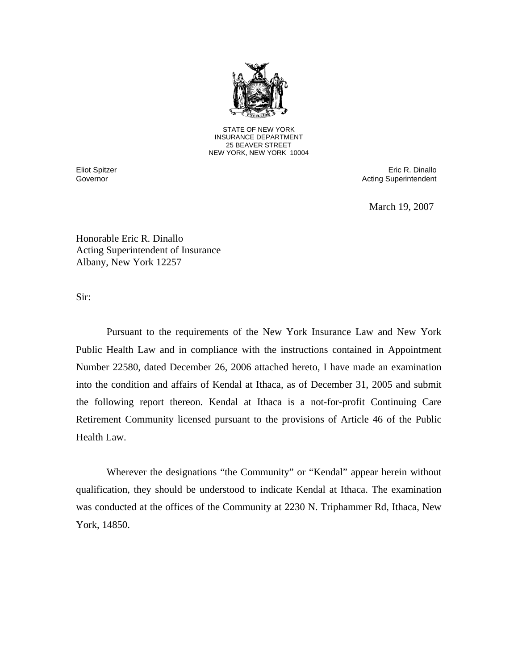

STATE OF NEW YORK INSURANCE DEPARTMENT 25 BEAVER STREET NEW YORK, NEW YORK 10004

Eliot Spitzer **Governor** 

Eric R. Dinallo Acting Superintendent

March 19, 2007

Honorable Eric R. Dinallo Acting Superintendent of Insurance Albany, New York 12257

Sir:

Health Law. Pursuant to the requirements of the New York Insurance Law and New York Public Health Law and in compliance with the instructions contained in Appointment Number 22580, dated December 26, 2006 attached hereto, I have made an examination into the condition and affairs of Kendal at Ithaca, as of December 31, 2005 and submit the following report thereon. Kendal at Ithaca is a not-for-profit Continuing Care Retirement Community licensed pursuant to the provisions of Article 46 of the Public

Wherever the designations "the Community" or "Kendal" appear herein without qualification, they should be understood to indicate Kendal at Ithaca. The examination was conducted at the offices of the Community at 2230 N. Triphammer Rd, Ithaca, New York, 14850.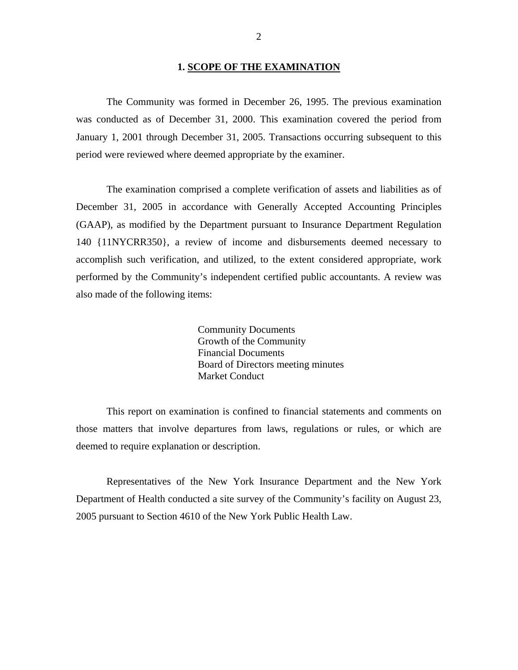#### **1. SCOPE OF THE EXAMINATION**

The Community was formed in December 26, 1995. The previous examination was conducted as of December 31, 2000. This examination covered the period from January 1, 2001 through December 31, 2005. Transactions occurring subsequent to this period were reviewed where deemed appropriate by the examiner.

The examination comprised a complete verification of assets and liabilities as of December 31, 2005 in accordance with Generally Accepted Accounting Principles (GAAP), as modified by the Department pursuant to Insurance Department Regulation 140 {11NYCRR350}, a review of income and disbursements deemed necessary to accomplish such verification, and utilized, to the extent considered appropriate, work performed by the Community's independent certified public accountants. A review was also made of the following items:

> Community Documents Growth of the Community Financial Documents Board of Directors meeting minutes Market Conduct

This report on examination is confined to financial statements and comments on those matters that involve departures from laws, regulations or rules, or which are deemed to require explanation or description.

 2005 pursuant to Section 4610 of the New York Public Health Law. Representatives of the New York Insurance Department and the New York Department of Health conducted a site survey of the Community's facility on August 23,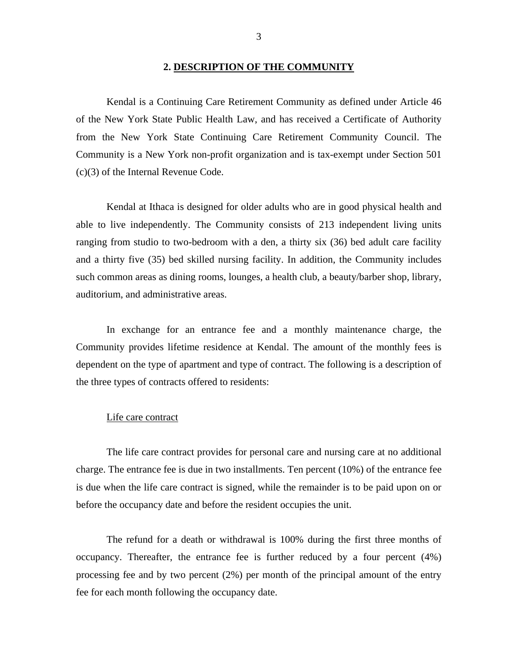#### **2. DESCRIPTION OF THE COMMUNITY**

<span id="page-4-0"></span>Kendal is a Continuing Care Retirement Community as defined under Article 46 of the New York State Public Health Law, and has received a Certificate of Authority from the New York State Continuing Care Retirement Community Council. The Community is a New York non-profit organization and is tax-exempt under Section 501 (c)(3) of the Internal Revenue Code.

Kendal at Ithaca is designed for older adults who are in good physical health and able to live independently. The Community consists of 213 independent living units ranging from studio to two-bedroom with a den, a thirty six (36) bed adult care facility and a thirty five (35) bed skilled nursing facility. In addition, the Community includes such common areas as dining rooms, lounges, a health club, a beauty/barber shop, library, auditorium, and administrative areas.

In exchange for an entrance fee and a monthly maintenance charge, the Community provides lifetime residence at Kendal. The amount of the monthly fees is dependent on the type of apartment and type of contract. The following is a description of the three types of contracts offered to residents:

#### Life care contract

The life care contract provides for personal care and nursing care at no additional charge. The entrance fee is due in two installments. Ten percent (10%) of the entrance fee is due when the life care contract is signed, while the remainder is to be paid upon on or before the occupancy date and before the resident occupies the unit.

 fee for each month following the occupancy date. The refund for a death or withdrawal is 100% during the first three months of occupancy. Thereafter, the entrance fee is further reduced by a four percent (4%) processing fee and by two percent (2%) per month of the principal amount of the entry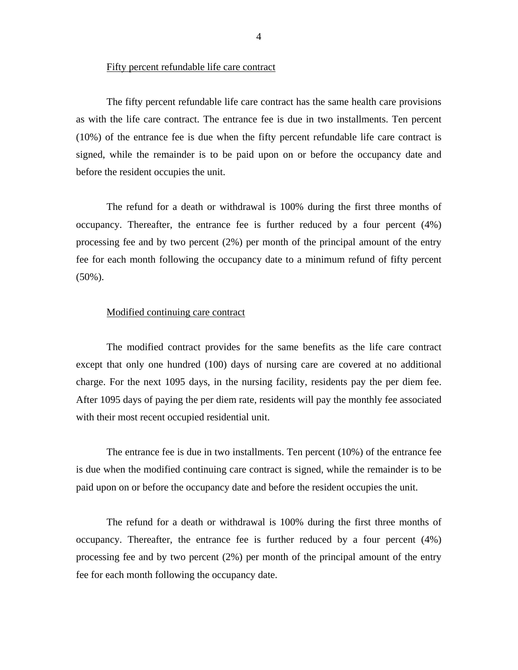#### Fifty percent refundable life care contract

The fifty percent refundable life care contract has the same health care provisions as with the life care contract. The entrance fee is due in two installments. Ten percent (10%) of the entrance fee is due when the fifty percent refundable life care contract is signed, while the remainder is to be paid upon on or before the occupancy date and before the resident occupies the unit.

The refund for a death or withdrawal is 100% during the first three months of occupancy. Thereafter, the entrance fee is further reduced by a four percent (4%) processing fee and by two percent (2%) per month of the principal amount of the entry fee for each month following the occupancy date to a minimum refund of fifty percent (50%).

#### Modified continuing care contract

The modified contract provides for the same benefits as the life care contract except that only one hundred (100) days of nursing care are covered at no additional charge. For the next 1095 days, in the nursing facility, residents pay the per diem fee. After 1095 days of paying the per diem rate, residents will pay the monthly fee associated with their most recent occupied residential unit.

The entrance fee is due in two installments. Ten percent (10%) of the entrance fee is due when the modified continuing care contract is signed, while the remainder is to be paid upon on or before the occupancy date and before the resident occupies the unit.

 fee for each month following the occupancy date. The refund for a death or withdrawal is 100% during the first three months of occupancy. Thereafter, the entrance fee is further reduced by a four percent (4%) processing fee and by two percent (2%) per month of the principal amount of the entry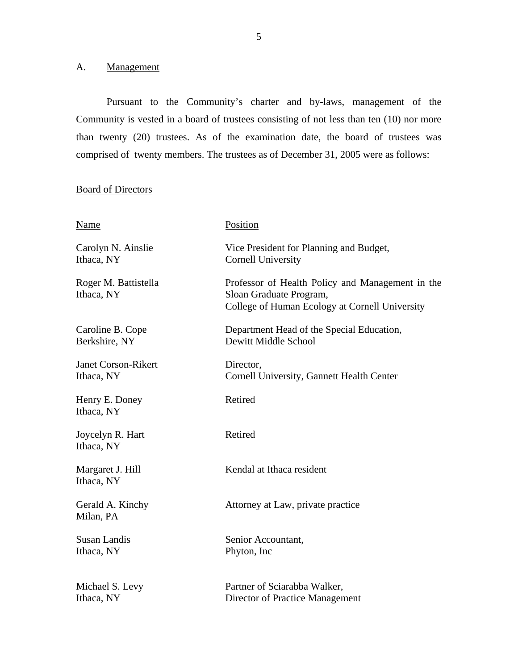## A. Management

Pursuant to the Community's charter and by-laws, management of the Community is vested in a board of trustees consisting of not less than ten (10) nor more than twenty (20) trustees. As of the examination date, the board of trustees was comprised of twenty members. The trustees as of December 31, 2005 were as follows:

## Board of Directors

| Name                                     | Position                                                                                                                      |
|------------------------------------------|-------------------------------------------------------------------------------------------------------------------------------|
| Carolyn N. Ainslie<br>Ithaca, NY         | Vice President for Planning and Budget,<br><b>Cornell University</b>                                                          |
| Roger M. Battistella<br>Ithaca, NY       | Professor of Health Policy and Management in the<br>Sloan Graduate Program,<br>College of Human Ecology at Cornell University |
| Caroline B. Cope<br>Berkshire, NY        | Department Head of the Special Education,<br>Dewitt Middle School                                                             |
| <b>Janet Corson-Rikert</b><br>Ithaca, NY | Director,<br>Cornell University, Gannett Health Center                                                                        |
| Henry E. Doney<br>Ithaca, NY             | Retired                                                                                                                       |
| Joycelyn R. Hart<br>Ithaca, NY           | Retired                                                                                                                       |
| Margaret J. Hill<br>Ithaca, NY           | Kendal at Ithaca resident                                                                                                     |
| Gerald A. Kinchy<br>Milan, PA            | Attorney at Law, private practice                                                                                             |
| <b>Susan Landis</b><br>Ithaca, NY        | Senior Accountant,<br>Phyton, Inc.                                                                                            |
| Michael S. Levy<br>Ithaca, NY            | Partner of Sciarabba Walker,<br>Director of Practice Management                                                               |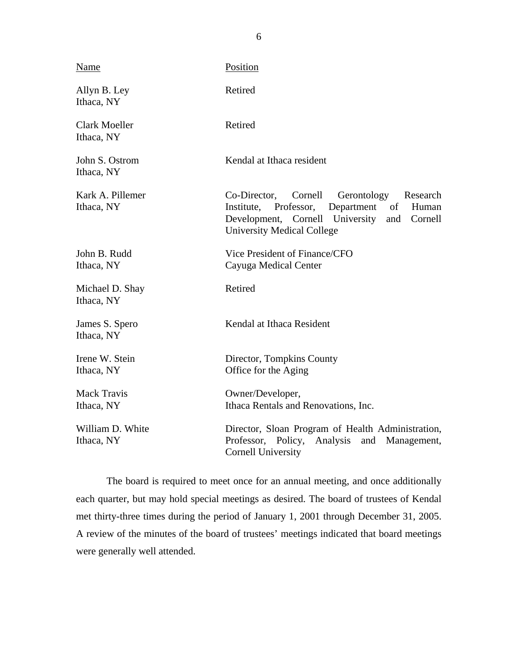| Name                               | Position                                                                                                                                                                                              |
|------------------------------------|-------------------------------------------------------------------------------------------------------------------------------------------------------------------------------------------------------|
| Allyn B. Ley<br>Ithaca, NY         | Retired                                                                                                                                                                                               |
| <b>Clark Moeller</b><br>Ithaca, NY | Retired                                                                                                                                                                                               |
| John S. Ostrom<br>Ithaca, NY       | Kendal at Ithaca resident                                                                                                                                                                             |
| Kark A. Pillemer<br>Ithaca, NY     | Co-Director,<br>Cornell<br>Gerontology<br>Research<br>Professor,<br>Institute,<br>Department<br>Human<br>of<br>Development, Cornell University<br>Cornell<br>and<br><b>University Medical College</b> |
| John B. Rudd<br>Ithaca, NY         | Vice President of Finance/CFO<br>Cayuga Medical Center                                                                                                                                                |
| Michael D. Shay<br>Ithaca, NY      | Retired                                                                                                                                                                                               |
| James S. Spero<br>Ithaca, NY       | Kendal at Ithaca Resident                                                                                                                                                                             |
| Irene W. Stein<br>Ithaca, NY       | Director, Tompkins County<br>Office for the Aging                                                                                                                                                     |
| <b>Mack Travis</b><br>Ithaca, NY   | Owner/Developer,<br>Ithaca Rentals and Renovations, Inc.                                                                                                                                              |
| William D. White<br>Ithaca, NY     | Director, Sloan Program of Health Administration,<br>Professor, Policy, Analysis<br>and<br>Management,<br><b>Cornell University</b>                                                                   |

The board is required to meet once for an annual meeting, and once additionally each quarter, but may hold special meetings as desired. The board of trustees of Kendal met thirty-three times during the period of January 1, 2001 through December 31, 2005. A review of the minutes of the board of trustees' meetings indicated that board meetings were generally well attended.

6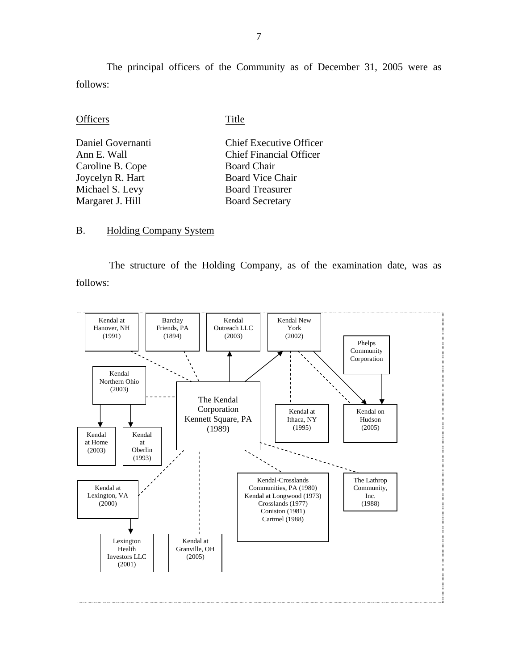The principal officers of the Community as of December 31, 2005 were as follows:

| Title                          |
|--------------------------------|
| <b>Chief Executive Officer</b> |
| <b>Chief Financial Officer</b> |
| <b>Board Chair</b>             |
| <b>Board Vice Chair</b>        |
| <b>Board Treasurer</b>         |
| <b>Board Secretary</b>         |
|                                |

## B. Holding Company System

The structure of the Holding Company, as of the examination date, was as follows:

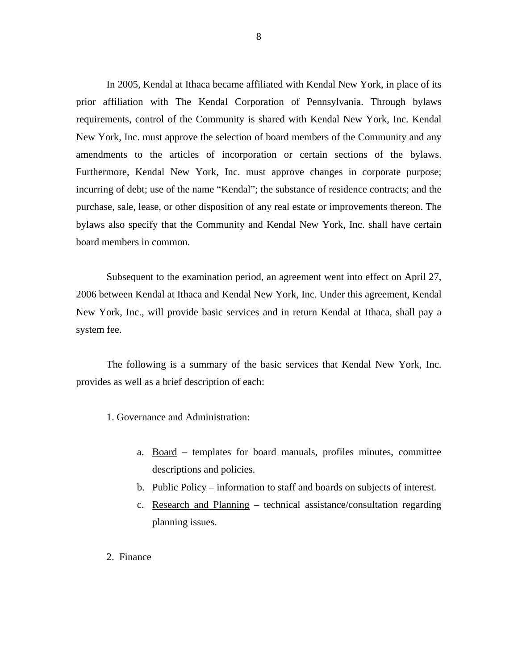In 2005, Kendal at Ithaca became affiliated with Kendal New York, in place of its prior affiliation with The Kendal Corporation of Pennsylvania. Through bylaws requirements, control of the Community is shared with Kendal New York, Inc. Kendal New York, Inc. must approve the selection of board members of the Community and any amendments to the articles of incorporation or certain sections of the bylaws. Furthermore, Kendal New York, Inc. must approve changes in corporate purpose; incurring of debt; use of the name "Kendal"; the substance of residence contracts; and the purchase, sale, lease, or other disposition of any real estate or improvements thereon. The bylaws also specify that the Community and Kendal New York, Inc. shall have certain board members in common.

Subsequent to the examination period, an agreement went into effect on April 27, 2006 between Kendal at Ithaca and Kendal New York, Inc. Under this agreement, Kendal New York, Inc., will provide basic services and in return Kendal at Ithaca, shall pay a system fee.

The following is a summary of the basic services that Kendal New York, Inc. provides as well as a brief description of each:

1. Governance and Administration:

- a. Board templates for board manuals, profiles minutes, committee descriptions and policies.
- b. Public Policy information to staff and boards on subjects of interest.
- c. Research and Planning technical assistance/consultation regarding planning issues.
- 2. Finance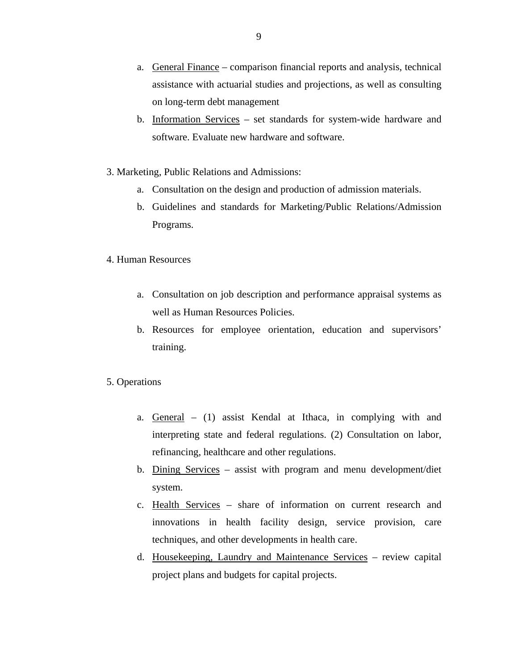- <span id="page-10-0"></span>a. General Finance – comparison financial reports and analysis, technical assistance with actuarial studies and projections, as well as consulting on long-term debt management
- b. Information Services set standards for system-wide hardware and software. Evaluate new hardware and software.
- 3. Marketing, Public Relations and Admissions:
	- a. Consultation on the design and production of admission materials.
	- b. Guidelines and standards for Marketing/Public Relations/Admission Programs.
- 4. Human Resources
	- a. Consultation on job description and performance appraisal systems as well as Human Resources Policies.
	- b. Resources for employee orientation, education and supervisors' training.

#### 5. Operations

- a. General (1) assist Kendal at Ithaca, in complying with and interpreting state and federal regulations. (2) Consultation on labor, refinancing, healthcare and other regulations.
- b. Dining Services assist with program and menu development/diet system.
- c. Health Services share of information on current research and innovations in health facility design, service provision, care techniques, and other developments in health care.
- d. Housekeeping, Laundry and Maintenance Services review capital project plans and budgets for capital projects.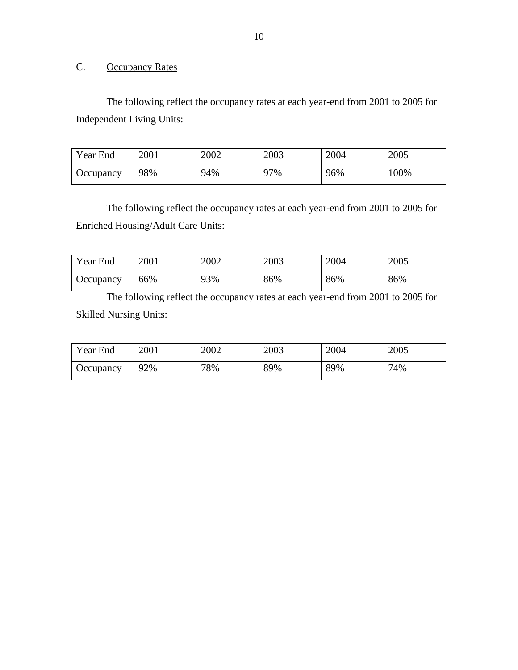# C. Occupancy Rates

The following reflect the occupancy rates at each year-end from 2001 to 2005 for Independent Living Units:

| Year End  | 2001 | 2002 | 2003 | 2004 | 2005 |
|-----------|------|------|------|------|------|
| Occupancy | 98%  | 94%  | 97%  | 96%  | 100% |

The following reflect the occupancy rates at each year-end from 2001 to 2005 for Enriched Housing/Adult Care Units:

| Year End  | 2001 | 2002 | 2003 | 2004 | 2005 |
|-----------|------|------|------|------|------|
| Occupancy | 66%  | 93%  | 86%  | 86%  | 86%  |

The following reflect the occupancy rates at each year-end from 2001 to 2005 for Skilled Nursing Units:

| Year End  | 2001 | 2002 | 2003 | 2004 | 2005 |
|-----------|------|------|------|------|------|
| Occupancy | 92%  | 78%  | 89%  | 89%  | 74%  |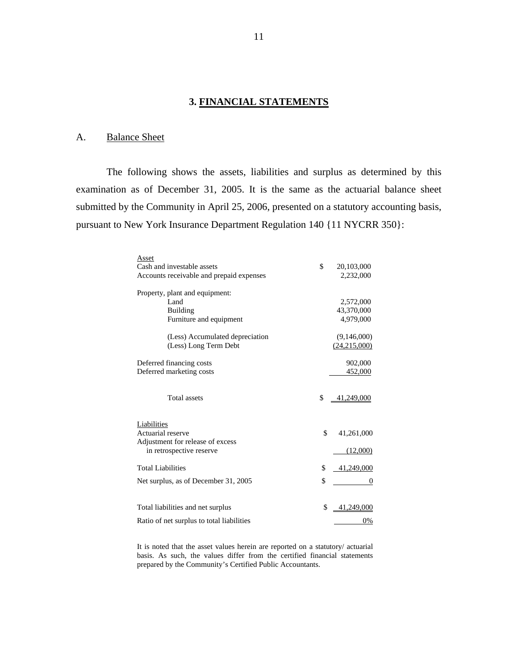### **3. FINANCIAL STATEMENTS**

## A. Balance Sheet

The following shows the assets, liabilities and surplus as determined by this examination as of December 31, 2005. It is the same as the actuarial balance sheet submitted by the Community in April 25, 2006, presented on a statutory accounting basis, pursuant to New York Insurance Department Regulation 140 {11 NYCRR 350}:

| 20,103,000       |
|------------------|
| 2,232,000        |
|                  |
| 2,572,000        |
| 43,370,000       |
| 4,979,000        |
| (9,146,000)      |
| (24,215,000)     |
| 902,000          |
| 452,000          |
| \$<br>41,249,000 |
|                  |
| \$<br>41,261,000 |
|                  |
| (12,000)         |
| \$<br>41,249,000 |
| \$<br>0          |
| \$<br>41.249.000 |
|                  |
| \$               |

It is noted that the asset values herein are reported on a statutory/ actuarial basis. As such, the values differ from the certified financial statements prepared by the Community's Certified Public Accountants.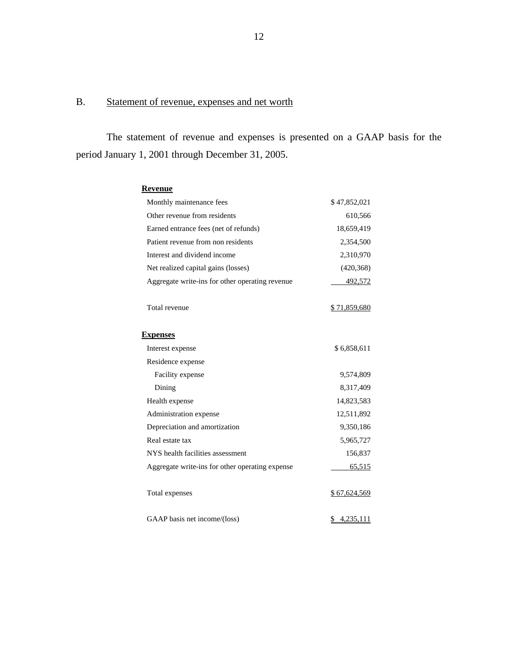# B. Statement of revenue, expenses and net worth

The statement of revenue and expenses is presented on a GAAP basis for the period January 1, 2001 through December 31, 2005.

| <b>Revenue</b>                                  |                 |
|-------------------------------------------------|-----------------|
| Monthly maintenance fees                        | \$47,852,021    |
| Other revenue from residents                    | 610,566         |
| Earned entrance fees (net of refunds)           | 18,659,419      |
| Patient revenue from non residents              | 2,354,500       |
| Interest and dividend income                    | 2,310,970       |
| Net realized capital gains (losses)             | (420, 368)      |
| Aggregate write-ins for other operating revenue | 492,572         |
| Total revenue                                   | \$71,859,680    |
| <b>Expenses</b>                                 |                 |
| Interest expense                                | \$6,858,611     |
| Residence expense                               |                 |
| Facility expense                                | 9,574,809       |
| Dining                                          | 8,317,409       |
| Health expense                                  | 14,823,583      |
| Administration expense                          | 12,511,892      |
| Depreciation and amortization                   | 9,350,186       |
| Real estate tax                                 | 5,965,727       |
| NYS health facilities assessment                | 156,837         |
| Aggregate write-ins for other operating expense | 65,515          |
| Total expenses                                  | \$67,624,569    |
| GAAP basis net income/(loss)                    | 4,235,111<br>\$ |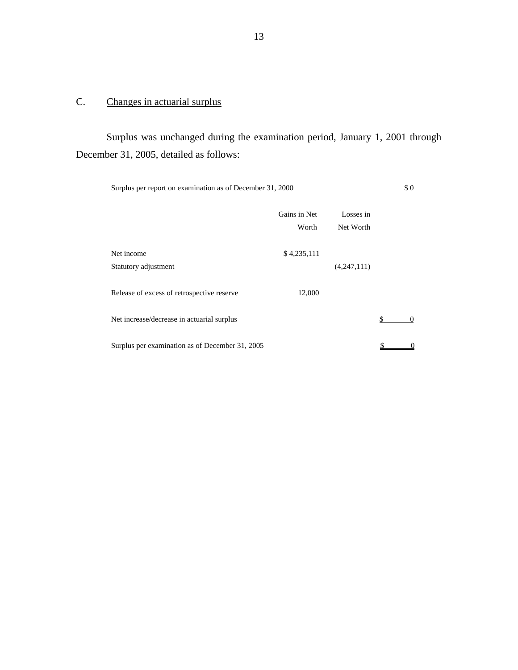# <span id="page-14-0"></span>C. Changes in actuarial surplus

Surplus was unchanged during the examination period, January 1, 2001 through December 31, 2005, detailed as follows:

| Surplus per report on examination as of December 31, 2000 |              |             | \$0 |
|-----------------------------------------------------------|--------------|-------------|-----|
|                                                           | Gains in Net | Losses in   |     |
|                                                           | Worth        | Net Worth   |     |
| Net income                                                | \$4,235,111  |             |     |
| Statutory adjustment                                      |              | (4,247,111) |     |
| Release of excess of retrospective reserve                | 12,000       |             |     |
| Net increase/decrease in actuarial surplus                |              |             | \$  |
| Surplus per examination as of December 31, 2005           |              |             |     |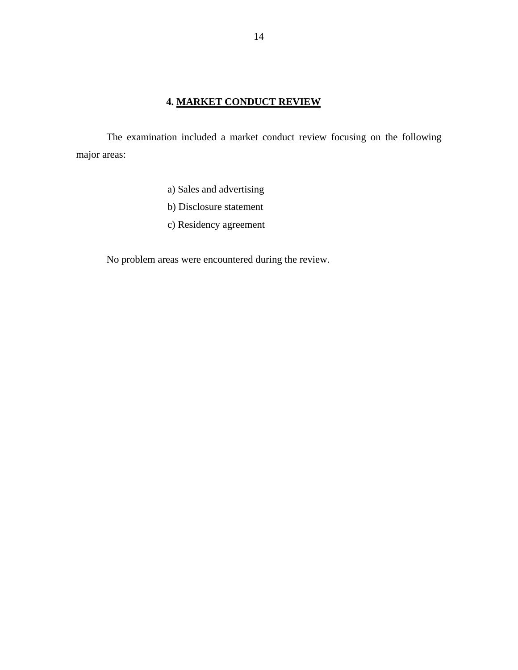## **4. MARKET CONDUCT REVIEW**

The examination included a market conduct review focusing on the following major areas:

- a) Sales and advertising
- b) Disclosure statement
- c) Residency agreement

No problem areas were encountered during the review.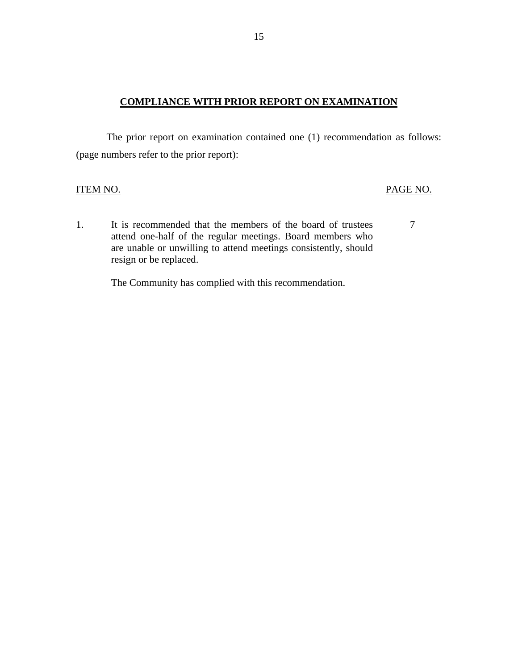#### **COMPLIANCE WITH PRIOR REPORT ON EXAMINATION**

<span id="page-16-0"></span>The prior report on examination contained one (1) recommendation as follows: (page numbers refer to the prior report):

#### **ITEM NO.**

#### PAGE NO.

1. It is recommended that the members of the board of trustees  $\frac{7}{3}$ attend one-half of the regular meetings. Board members who are unable or unwilling to attend meetings consistently, should resign or be replaced.

The Community has complied with this recommendation.